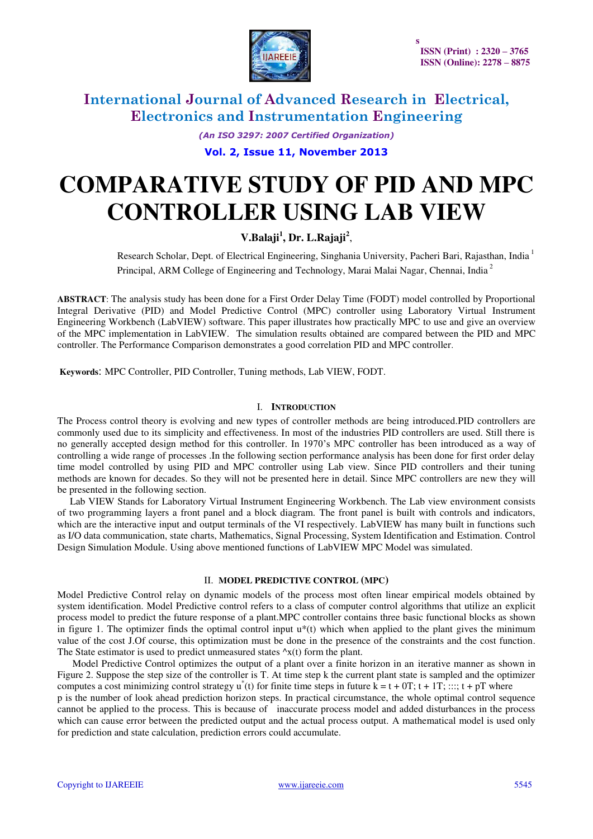

*(An ISO 3297: 2007 Certified Organization)* 

**Vol. 2, Issue 11, November 2013**

# **COMPARATIVE STUDY OF PID AND MPC CONTROLLER USING LAB VIEW**

### **V.Balaji<sup>1</sup> , Dr. L.Rajaji<sup>2</sup>** ,

 Research Scholar, Dept. of Electrical Engineering, Singhania University, Pacheri Bari, Rajasthan, India<sup>1</sup> Principal, ARM College of Engineering and Technology, Marai Malai Nagar, Chennai, India<sup>2</sup>

**ABSTRACT**: The analysis study has been done for a First Order Delay Time (FODT) model controlled by Proportional Integral Derivative (PID) and Model Predictive Control (MPC) controller using Laboratory Virtual Instrument Engineering Workbench (LabVIEW) software. This paper illustrates how practically MPC to use and give an overview of the MPC implementation in LabVIEW. The simulation results obtained are compared between the PID and MPC controller. The Performance Comparison demonstrates a good correlation PID and MPC controller.

 **Keywords**: MPC Controller, PID Controller, Tuning methods, Lab VIEW, FODT.

#### I. **INTRODUCTION**

The Process control theory is evolving and new types of controller methods are being introduced.PID controllers are commonly used due to its simplicity and effectiveness. In most of the industries PID controllers are used. Still there is no generally accepted design method for this controller. In 1970's MPC controller has been introduced as a way of controlling a wide range of processes .In the following section performance analysis has been done for first order delay time model controlled by using PID and MPC controller using Lab view. Since PID controllers and their tuning methods are known for decades. So they will not be presented here in detail. Since MPC controllers are new they will be presented in the following section.

 Lab VIEW Stands for Laboratory Virtual Instrument Engineering Workbench. The Lab view environment consists of two programming layers a front panel and a block diagram. The front panel is built with controls and indicators, which are the interactive input and output terminals of the VI respectively. LabVIEW has many built in functions such as I/O data communication, state charts, Mathematics, Signal Processing, System Identification and Estimation. Control Design Simulation Module. Using above mentioned functions of LabVIEW MPC Model was simulated.

#### II. **MODEL PREDICTIVE CONTROL (MPC)**

Model Predictive Control relay on dynamic models of the process most often linear empirical models obtained by system identification. Model Predictive control refers to a class of computer control algorithms that utilize an explicit process model to predict the future response of a plant.MPC controller contains three basic functional blocks as shown in figure 1. The optimizer finds the optimal control input  $u^*(t)$  which when applied to the plant gives the minimum value of the cost J.Of course, this optimization must be done in the presence of the constraints and the cost function. The State estimator is used to predict unmeasured states  $\alpha x(t)$  form the plant.

 Model Predictive Control optimizes the output of a plant over a finite horizon in an iterative manner as shown in Figure 2. Suppose the step size of the controller is T. At time step k the current plant state is sampled and the optimizer computes a cost minimizing control strategy  $u^*(t)$  for finite time steps in future  $k = t + 0T$ ;  $t + 1T$ ; :::;  $t + pT$  where

p is the number of look ahead prediction horizon steps. In practical circumstance, the whole optimal control sequence cannot be applied to the process. This is because of inaccurate process model and added disturbances in the process which can cause error between the predicted output and the actual process output. A mathematical model is used only for prediction and state calculation, prediction errors could accumulate.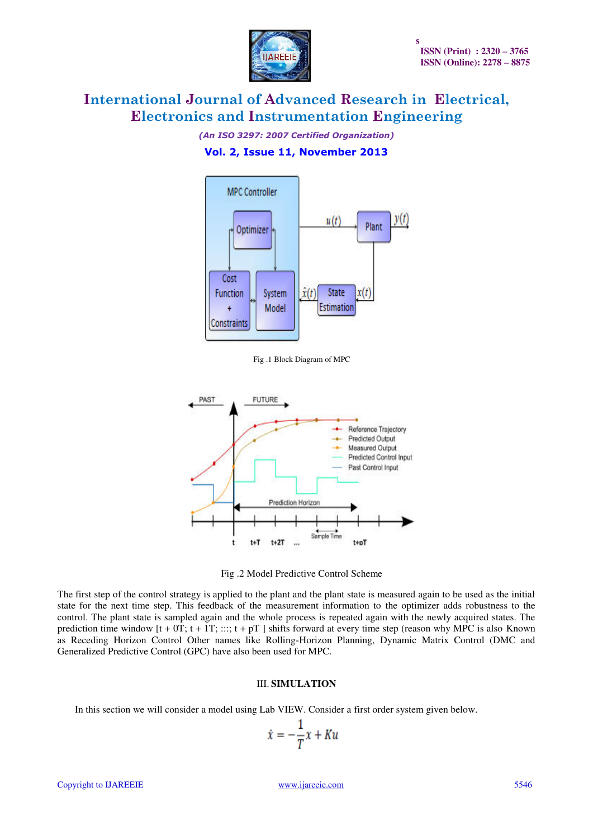

*(An ISO 3297: 2007 Certified Organization)* 

### **Vol. 2, Issue 11, November 2013**



Fig .1 Block Diagram of MPC



Fig .2 Model Predictive Control Scheme

The first step of the control strategy is applied to the plant and the plant state is measured again to be used as the initial state for the next time step. This feedback of the measurement information to the optimizer adds robustness to the control. The plant state is sampled again and the whole process is repeated again with the newly acquired states. The prediction time window  $[t + 0T; t + 1T; \dots; t + pT]$  shifts forward at every time step (reason why MPC is also Known as Receding Horizon Control Other names like Rolling-Horizon Planning, Dynamic Matrix Control (DMC and Generalized Predictive Control (GPC) have also been used for MPC.

#### III. **SIMULATION**

In this section we will consider a model using Lab VIEW. Consider a first order system given below.

$$
\dot{x} = -\frac{1}{T}x + K u
$$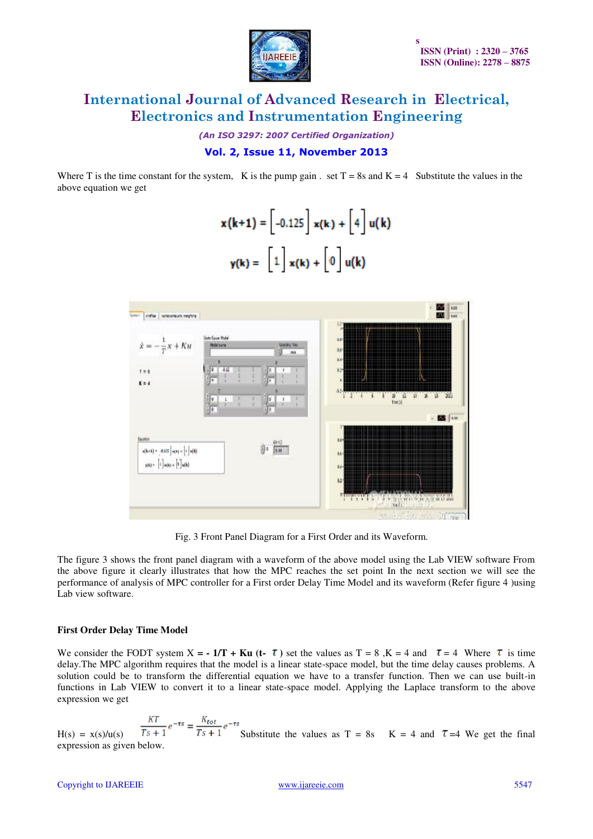

*(An ISO 3297: 2007 Certified Organization)* 

### **Vol. 2, Issue 11, November 2013**

Where T is the time constant for the system, K is the pump gain . set  $T = 8s$  and  $K = 4$  Substitute the values in the above equation we get

$$
\mathbf{x}(k+1) = \begin{bmatrix} -0.125 \\ x(k) + \begin{bmatrix} 4 \\ y(k) \end{bmatrix} u(k)
$$

$$
\mathbf{y}(k) = \begin{bmatrix} 1 \\ x(k) + \begin{bmatrix} 0 \\ y(k) \end{bmatrix} u(k)
$$



Fig. 3 Front Panel Diagram for a First Order and its Waveform.

The figure 3 shows the front panel diagram with a waveform of the above model using the Lab VIEW software From the above figure it clearly illustrates that how the MPC reaches the set point In the next section we will see the performance of analysis of MPC controller for a First order Delay Time Model and its waveform (Refer figure 4 )using Lab view software.

#### **First Order Delay Time Model**

We consider the FODT system  $X = -1/T + Ku$  (t-  $\tau$ ) set the values as  $T = 8$ ,  $K = 4$  and  $\tau = 4$  Where  $\tau$  is time delay.The MPC algorithm requires that the model is a linear state-space model, but the time delay causes problems. A solution could be to transform the differential equation we have to a transfer function. Then we can use built-in functions in Lab VIEW to convert it to a linear state-space model. Applying the Laplace transform to the above expression we get

 $H(s) = x(s)/u(s)$   $\frac{KT}{Ts+1}e^{-\tau s} = \frac{K_{tot}}{Ts+1}e^{-\tau s}$  Substitute the values as T = 8s K = 4 and  $\tau$  =4 We get the final expression as given below.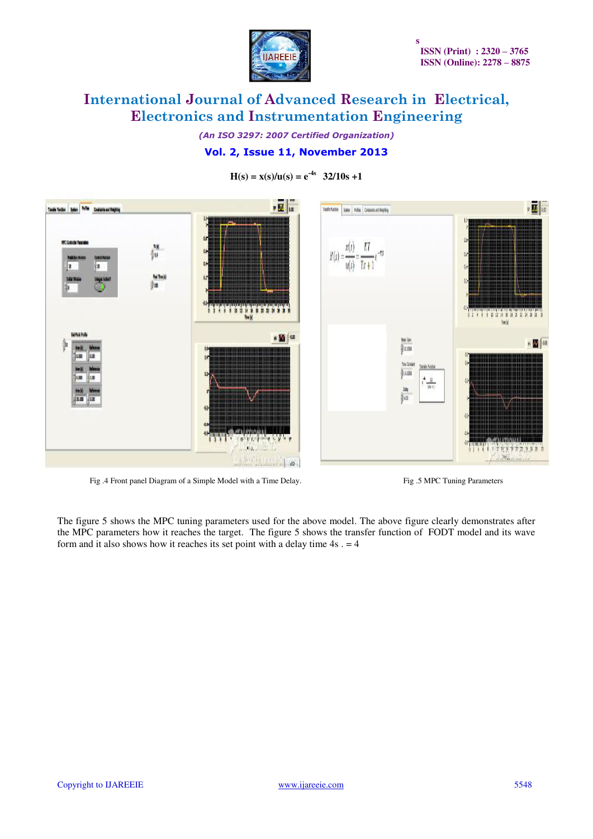

*(An ISO 3297: 2007 Certified Organization)* 

## **Vol. 2, Issue 11, November 2013**

 $H(s) = x(s)/u(s) = e^{-4s}$  **32/10s +1** 



Fig. 4 Front panel Diagram of a Simple Model with a Time Delay. Fig. 5 MPC Tuning Parameters

The figure 5 shows the MPC tuning parameters used for the above model. The above figure clearly demonstrates after the MPC parameters how it reaches the target. The figure 5 shows the transfer function of FODT model and its wave form and it also shows how it reaches its set point with a delay time  $4s = 4$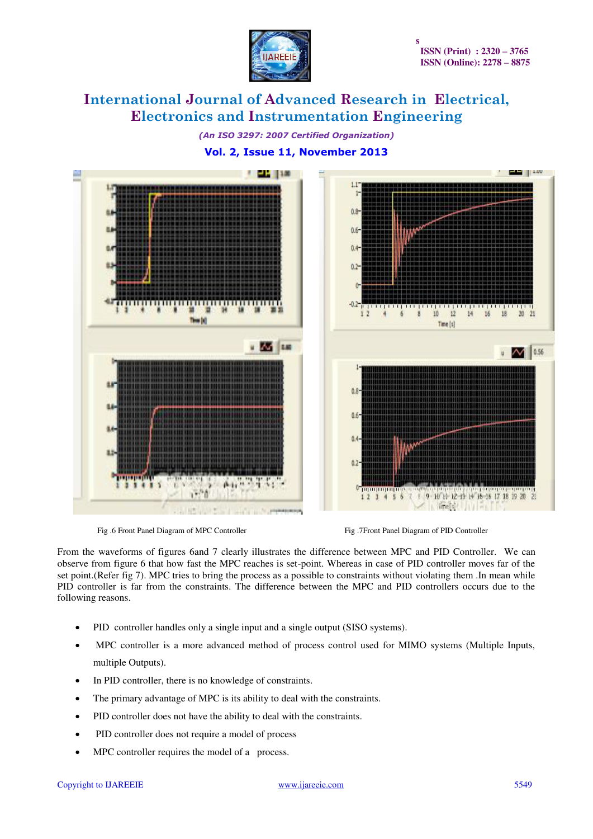

*(An ISO 3297: 2007 Certified Organization)* 

### **Vol. 2, Issue 11, November 2013**



Fig .6 Front Panel Diagram of MPC Controller Fig .7Front Panel Diagram of PID Controller

From the waveforms of figures 6and 7 clearly illustrates the difference between MPC and PID Controller. We can observe from figure 6 that how fast the MPC reaches is set-point. Whereas in case of PID controller moves far of the set point.(Refer fig 7). MPC tries to bring the process as a possible to constraints without violating them .In mean while PID controller is far from the constraints. The difference between the MPC and PID controllers occurs due to the following reasons.

- PID controller handles only a single input and a single output (SISO systems).
- MPC controller is a more advanced method of process control used for MIMO systems (Multiple Inputs, multiple Outputs).
- In PID controller, there is no knowledge of constraints.
- The primary advantage of MPC is its ability to deal with the constraints.
- PID controller does not have the ability to deal with the constraints.
- PID controller does not require a model of process
- MPC controller requires the model of a process.